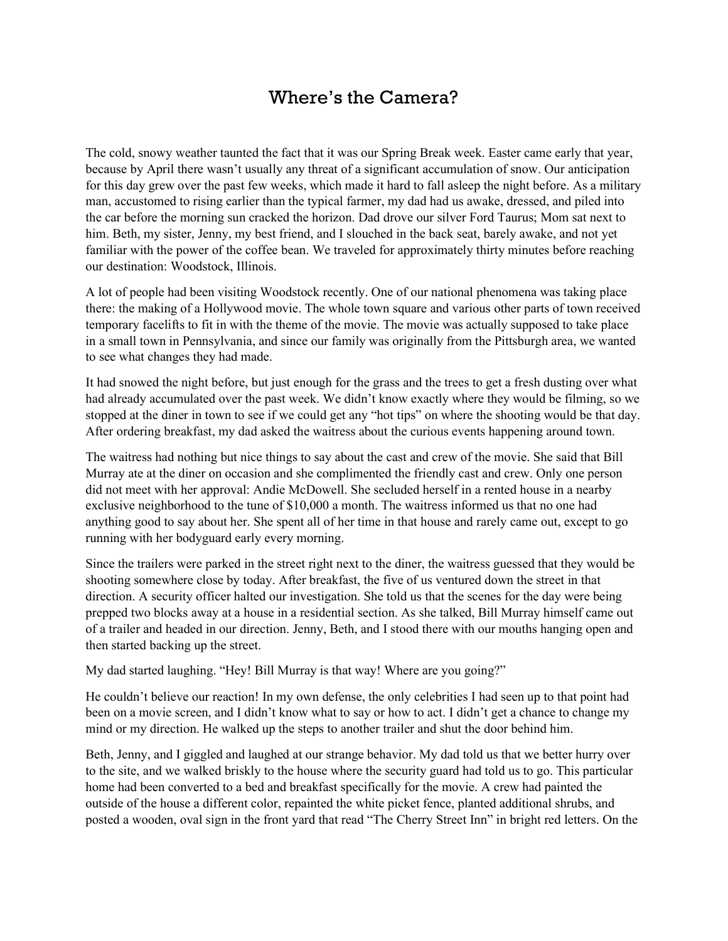## Where's the Camera?

The cold, snowy weather taunted the fact that it was our Spring Break week. Easter came early that year, because by April there wasn't usually any threat of a significant accumulation of snow. Our anticipation for this day grew over the past few weeks, which made it hard to fall asleep the night before. As a military man, accustomed to rising earlier than the typical farmer, my dad had us awake, dressed, and piled into the car before the morning sun cracked the horizon. Dad drove our silver Ford Taurus; Mom sat next to him. Beth, my sister, Jenny, my best friend, and I slouched in the back seat, barely awake, and not yet familiar with the power of the coffee bean. We traveled for approximately thirty minutes before reaching our destination: Woodstock, Illinois.

A lot of people had been visiting Woodstock recently. One of our national phenomena was taking place there: the making of a Hollywood movie. The whole town square and various other parts of town received temporary facelifts to fit in with the theme of the movie. The movie was actually supposed to take place in a small town in Pennsylvania, and since our family was originally from the Pittsburgh area, we wanted to see what changes they had made.

It had snowed the night before, but just enough for the grass and the trees to get a fresh dusting over what had already accumulated over the past week. We didn't know exactly where they would be filming, so we stopped at the diner in town to see if we could get any "hot tips" on where the shooting would be that day. After ordering breakfast, my dad asked the waitress about the curious events happening around town.

The waitress had nothing but nice things to say about the cast and crew of the movie. She said that Bill Murray ate at the diner on occasion and she complimented the friendly cast and crew. Only one person did not meet with her approval: Andie McDowell. She secluded herself in a rented house in a nearby exclusive neighborhood to the tune of \$10,000 a month. The waitress informed us that no one had anything good to say about her. She spent all of her time in that house and rarely came out, except to go running with her bodyguard early every morning.

Since the trailers were parked in the street right next to the diner, the waitress guessed that they would be shooting somewhere close by today. After breakfast, the five of us ventured down the street in that direction. A security officer halted our investigation. She told us that the scenes for the day were being prepped two blocks away at a house in a residential section. As she talked, Bill Murray himself came out of a trailer and headed in our direction. Jenny, Beth, and I stood there with our mouths hanging open and then started backing up the street.

My dad started laughing. "Hey! Bill Murray is that way! Where are you going?"

He couldn't believe our reaction! In my own defense, the only celebrities I had seen up to that point had been on a movie screen, and I didn't know what to say or how to act. I didn't get a chance to change my mind or my direction. He walked up the steps to another trailer and shut the door behind him.

Beth, Jenny, and I giggled and laughed at our strange behavior. My dad told us that we better hurry over to the site, and we walked briskly to the house where the security guard had told us to go. This particular home had been converted to a bed and breakfast specifically for the movie. A crew had painted the outside of the house a different color, repainted the white picket fence, planted additional shrubs, and posted a wooden, oval sign in the front yard that read "The Cherry Street Inn" in bright red letters. On the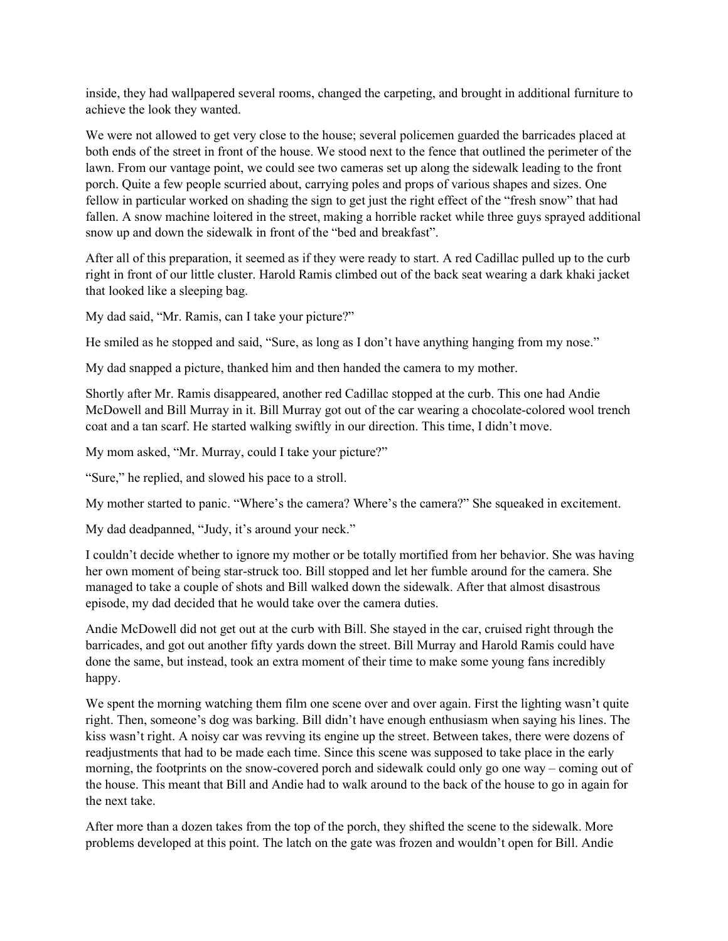inside, they had wallpapered several rooms, changed the carpeting, and brought in additional furniture to achieve the look they wanted.

We were not allowed to get very close to the house; several policemen guarded the barricades placed at both ends of the street in front of the house. We stood next to the fence that outlined the perimeter of the lawn. From our vantage point, we could see two cameras set up along the sidewalk leading to the front porch. Quite a few people scurried about, carrying poles and props of various shapes and sizes. One fellow in particular worked on shading the sign to get just the right effect of the "fresh snow" that had fallen. A snow machine loitered in the street, making a horrible racket while three guys sprayed additional snow up and down the sidewalk in front of the "bed and breakfast".

After all of this preparation, it seemed as if they were ready to start. A red Cadillac pulled up to the curb right in front of our little cluster. Harold Ramis climbed out of the back seat wearing a dark khaki jacket that looked like a sleeping bag.

My dad said, "Mr. Ramis, can I take your picture?"

He smiled as he stopped and said, "Sure, as long as I don't have anything hanging from my nose."

My dad snapped a picture, thanked him and then handed the camera to my mother.

Shortly after Mr. Ramis disappeared, another red Cadillac stopped at the curb. This one had Andie McDowell and Bill Murray in it. Bill Murray got out of the car wearing a chocolate-colored wool trench coat and a tan scarf. He started walking swiftly in our direction. This time, I didn't move.

My mom asked, "Mr. Murray, could I take your picture?"

"Sure," he replied, and slowed his pace to a stroll.

My mother started to panic. "Where's the camera? Where's the camera?" She squeaked in excitement.

My dad deadpanned, "Judy, it's around your neck."

I couldn't decide whether to ignore my mother or be totally mortified from her behavior. She was having her own moment of being star-struck too. Bill stopped and let her fumble around for the camera. She managed to take a couple of shots and Bill walked down the sidewalk. After that almost disastrous episode, my dad decided that he would take over the camera duties.

Andie McDowell did not get out at the curb with Bill. She stayed in the car, cruised right through the barricades, and got out another fifty yards down the street. Bill Murray and Harold Ramis could have done the same, but instead, took an extra moment of their time to make some young fans incredibly happy.

We spent the morning watching them film one scene over and over again. First the lighting wasn't quite right. Then, someone's dog was barking. Bill didn't have enough enthusiasm when saying his lines. The kiss wasn't right. A noisy car was revving its engine up the street. Between takes, there were dozens of readjustments that had to be made each time. Since this scene was supposed to take place in the early morning, the footprints on the snow-covered porch and sidewalk could only go one way – coming out of the house. This meant that Bill and Andie had to walk around to the back of the house to go in again for the next take.

After more than a dozen takes from the top of the porch, they shifted the scene to the sidewalk. More problems developed at this point. The latch on the gate was frozen and wouldn't open for Bill. Andie